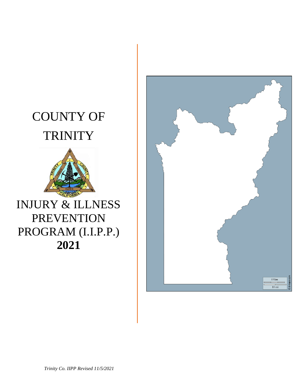# COUNTY OF **TRINITY**



# INJURY & ILLNESS PREVENTION PROGRAM (I.I.P.P.) **2021**

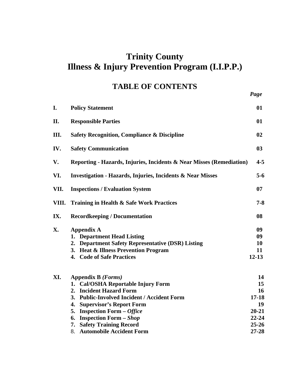### **Trinity County Illness & Injury Prevention Program (I.I.P.P.)**

# **TABLE OF CONTENTS** *Page*

| I.    | <b>Policy Statement</b>                                               | 01        |
|-------|-----------------------------------------------------------------------|-----------|
| П.    | <b>Responsible Parties</b>                                            | 01        |
| Ш.    | <b>Safety Recognition, Compliance &amp; Discipline</b>                | 02        |
| IV.   | <b>Safety Communication</b>                                           | 03        |
| V.    | Reporting - Hazards, Injuries, Incidents & Near Misses (Remediation)  | $4 - 5$   |
| VI.   | <b>Investigation - Hazards, Injuries, Incidents &amp; Near Misses</b> | $5 - 6$   |
| VII.  | <b>Inspections / Evaluation System</b>                                | 07        |
| VIII. | <b>Training in Health &amp; Safe Work Practices</b>                   | $7 - 8$   |
| IX.   | <b>Recordkeeping / Documentation</b>                                  | 08        |
| X.    | <b>Appendix A</b>                                                     | 09        |
|       | 1. Department Head Listing                                            | 09        |
|       | 2. Department Safety Representative (DSR) Listing                     | 10        |
|       | 3. Heat & Illness Prevention Program                                  | 11        |
|       | 4. Code of Safe Practices                                             | $12 - 13$ |
| XI.   | Appendix B (Forms)                                                    | 14        |
|       | 1. Cal/OSHA Reportable Injury Form                                    | 15        |
|       | <b>Incident Hazard Form</b><br>2.                                     | 16        |
|       | 3. Public-Involved Incident / Accident Form                           | $17 - 18$ |
|       | <b>Supervisor's Report Form</b><br>4.                                 | 19        |
|       | 5. Inspection Form $-$ Office                                         | $20 - 21$ |
|       | 6. Inspection Form – Shop                                             | 22-24     |

| <b>7. Safety Training Record</b> | $25 - 26$ |
|----------------------------------|-----------|
| 8. Automobile Accident Form      | $27 - 28$ |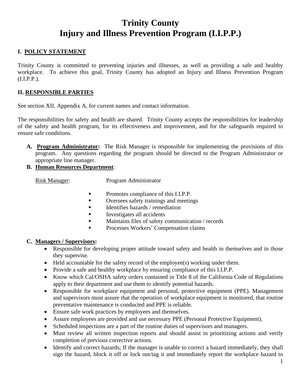### **Trinity County Injury and Illness Prevention Program (I.I.P.P.)**

### **I. POLICY STATEMENT**

Trinity County is committed to preventing injuries and illnesses, as well as providing a safe and healthy workplace. To achieve this goal, Trinity County has adopted an Injury and Illness Prevention Program (I.I.P.P.).

### **II. RESPONSIBLE PARTIES**

See section XII. Appendix A, for current names and contact information.

The responsibilities for safety and health are shared. Trinity County accepts the responsibilities for leadership of the safety and health program, for its effectiveness and improvement, and for the safeguards required to ensure safe conditions.

- **A. Program Administrator:** The Risk Manager is responsible for implementing the provisions of this program. Any questions regarding the program should be directed to the Program Administrator or appropriate line manager.
- **B. Human Resources Department**:

Risk Manager: Program Administrator

- **Promotes compliance of this I.I.P.P.**
- **•** Oversees safety trainings and meetings
- Identifies hazards / remediation
- Investigates all accidents
- **Maintains files of safety communication** / records
- Processes Workers' Compensation claims

### **C. Managers / Supervisors:**

- Responsible for developing proper attitude toward safety and health in themselves and in those they supervise.
- Held accountable for the safety record of the employee(s) working under them.
- Provide a safe and healthy workplace by ensuring compliance of this I.I.P.P.
- Know which Cal/OSHA safety orders contained in Title 8 of the California Code of Regulations apply to their department and use them to identify potential hazards.
- Responsible for workplace equipment and personal, protective equipment (PPE). Management and supervisors must assure that the operation of workplace equipment is monitored, that routine preventative maintenance is conducted and PPE is reliable.
- Ensure safe work practices by employees and themselves.
- Assure employees are provided and use necessary PPE (Personal Protective Equipment).
- Scheduled inspections are a part of the routine duties of supervisors and managers.
- Must review all written inspection reports and should assist in prioritizing actions and verify completion of previous corrective actions.
- Identify and correct hazards; If the manager is unable to correct a hazard immediately, they shall sign the hazard, block it off or lock out/tag it and immediately report the workplace hazard to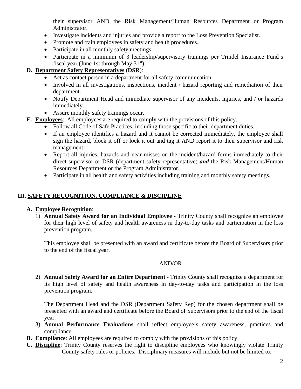their supervisor AND the Risk Management/Human Resources Department or Program Administrator.

- Investigate incidents and injuries and provide a report to the Loss Prevention Specialist.
- Promote and train employees in safety and health procedures.
- Participate in all monthly safety meetings.
- Participate in a minimum of 3 leadership/supervisory trainings per Trindel Insurance Fund's fiscal year (June 1st through May  $31<sup>st</sup>$ ).

### **D. Department Safety Representatives (DSR**):

- Act as contact person in a department for all safety communication.
- Involved in all investigations, inspections, incident / hazard reporting and remediation of their department.
- Notify Department Head and immediate supervisor of any incidents, injuries, and / or hazards immediately.
- Assure monthly safety trainings occur.
- **E. Employees**: All employees are required to comply with the provisions of this policy.
	- Follow all Code of Safe Practices, including those specific to their department duties.
	- If an employee identifies a hazard and it cannot be corrected immediately, the employee shall sign the hazard, block it off or lock it out and tag it AND report it to their supervisor and risk management.
	- Report all injuries, hazards and near misses on the incident/hazard forms immediately to their direct supervisor or DSR (department safety representative) *and* the Risk Management/Human Resources Department or the Program Administrator.
	- Participate in all health and safety activities including training and monthly safety meetings.

### **III. SAFETY RECOGNITION, COMPLIANCE & DISCIPLINE**

### **A. Employee Recognition**:

1) **Annual Safety Award for an Individual Employee -** Trinity County shall recognize an employee for their high level of safety and health awareness in day-to-day tasks and participation in the loss prevention program.

This employee shall be presented with an award and certificate before the Board of Supervisors prior to the end of the fiscal year.

### AND/OR

2) **Annual Safety Award for an Entire Department -** Trinity County shall recognize a department for its high level of safety and health awareness in day-to-day tasks and participation in the loss prevention program.

The Department Head and the DSR (Department Safety Rep) for the chosen department shall be presented with an award and certificate before the Board of Supervisors prior to the end of the fiscal year.

- 3) **Annual Performance Evaluations** shall reflect employee's safety awareness, practices and compliance.
- **B. Compliance**: All employees are required to comply with the provisions of this policy.
- **C. Discipline**: Trinity County reserves the right to discipline employees who knowingly violate Trinity County safety rules or policies. Disciplinary measures will include but not be limited to: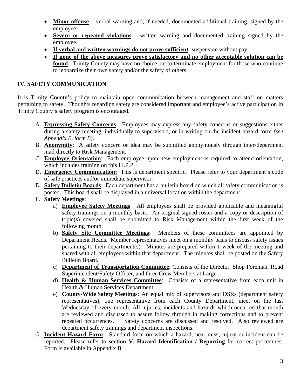- **Minor offense** verbal warning and, if needed, documented additional training, signed by the employee.
- **Severe or repeated violations** written warning and documented training signed by the employee.
- **If verbal and written warnings do not prove sufficient** -suspension without pay.
- **If none of the above measures prove satisfactory and no other acceptable solution can be found** - Trinity County may have no choice but to terminate employment for those who continue to jeopardize their own safety and/or the safety of others.

### **IV. SAFETY COMMUNICATION**

It is Trinity County's policy to maintain open communication between management and staff on matters pertaining to safety. Thoughts regarding safety are considered important and employee's active participation in Trinity County's safety program is encouraged.

- A. **Expressing Safety Concerns**: Employees may express any safety concerns or suggestions either during a safety meeting, individually to supervisors, or in writing on the incident hazard form *(see Appendix B, form B)*.
- B. **Anonymity**: A safety concern or idea may be submitted anonymously through inter-department mail directly to Risk Management.
- C. **Employee Orientation**: Each employee upon new employment is required to attend orientation, which includes training on this I.I.P.P.
- D. **Emergency Communication:** This is department specific. Please refer to your department's code of safe practices and/or immediate supervisor.
- E. **Safety Bulletin Boards**: Each department has a bulletin board on which all safety communication is posted. This board shall be displayed in a universal location within the department.
- F. **Safety Meetings**:
	- a) **Employee Safety Meetings**: All employees shall be provided applicable and meaningful safety trainings on a monthly basis. An original signed roster and a copy or description of topic(s) covered shall be submitted to Risk Management within the first week of the following month.
	- b) **Safety Site Committee Meetings**: Members of these committees are appointed by Department Heads. Member representatives meet on a monthly basis to discuss safety issues pertaining to their department(s). Minutes are prepared within 1 week of the meeting and shared with all employees within that department. The minutes shall be posted on the Safety Bulletin Board.
	- c) **Department of Transportation Committee**: Consists of the Director, Shop Foreman, Road Superintendent/Safety Officer, and three Crew Members at Large
	- d) **Health & Human Services Committee**: Consists of a representative from each unit in Health & Human Services Department.
	- e) **County-Wide Safety Meetings**: An equal mix of supervisors and DSRs (department safety representatives), one representative from each County Department, meet on the last Wednesday of every month. All injuries, incidents and hazards which occurred that month are reviewed and discussed to assure follow through in making corrections and to prevent repeated occurrences. Safety concerns are discussed and resolved. Also reviewed are department safety trainings and department inspections.
- G. **Incident Hazard Form**: Standard form on which a hazard, near miss, injury or incident can be reported. Please refer to **section V. Hazard Identification / Reporting** for correct procedures. Form is available in Appendix B.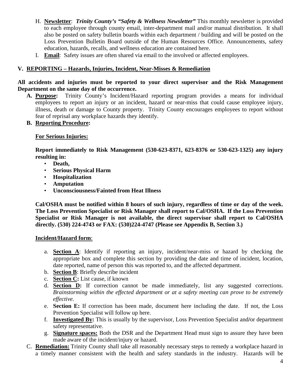- H. **Newsletter**: *Trinity County's "Safety & Wellness Newsletter"* This monthly newsletter is provided to each employee through county email, inter-department mail and/or manual distribution. It shall also be posted on safety bulletin boards within each department / building and will be posted on the Loss Prevention Bulletin Board outside of the Human Resources Office. Announcements, safety education, hazards, recalls, and wellness education are contained here.
- I. **Email**: Safety issues are often shared via email to the involved or affected employees.

### **V. REPORTING – Hazards, Injuries, Incident, Near-Misses & Remediation**

**All accidents and injuries must be reported to your direct supervisor and the Risk Management Department on the same day of the occurrence.**

**A. Purpose:** Trinity County's Incident/Hazard reporting program provides a means for individual employees to report an injury or an incident, hazard or near-miss that could cause employee injury, illness, death or damage to County property. Trinity County encourages employees to report without fear of reprisal any workplace hazards they identify.

### **B. Reporting Procedure:**

### **For Serious Injuries:**

**Report immediately to Risk Management (530-623-8371, 623-8376 or 530-623-1325) any injury resulting in:**

- **Death,**
- **Serious Physical Harm**
- **Hospitalization**
- **Amputation**
- **Unconsciousness/Fainted from Heat Illness**

**Cal/OSHA must be notified within 8 hours of such injury, regardless of time or day of the week. The Loss Prevention Specialist or Risk Manager shall report to Cal/OSHA. If the Loss Prevention Specialist or Risk Manager is not available, the direct supervisor shall report to Cal/OSHA directly. (530) 224-4743 or FAX: (530)224-4747 (Please see Appendix B, Section 3.)**

### **Incident/Hazard form**:

- a. **Section A**: Identify if reporting an injury, incident/near-miss or hazard by checking the appropriate box and complete this section by providing the date and time of incident, location, date reported, name of person this was reported to, and the affected department.
- b. **Section B**: Briefly describe incident
- c. **Section C:** List cause, if known
- d. **Section D:** If correction cannot be made immediately, list any suggested corrections. *Brainstorming within the effected department or at a safety meeting can prove to be extremely effective.*
- e. **Section E:** If correction has been made, document here including the date. If not, the Loss Prevention Specialist will follow up here.
- f. **Investigated By:** This is usually by the supervisor, Loss Prevention Specialist and**/**or department safety representative.
- g. **Signature spaces:** Both the DSR and the Department Head must sign to assure they have been made aware of the incident/injury or hazard.
- C. **Remediation:** Trinity County shall take all reasonably necessary steps to remedy a workplace hazard in a timely manner consistent with the health and safety standards in the industry. Hazards will be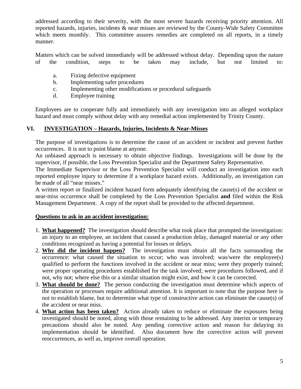addressed according to their severity, with the most severe hazards receiving priority attention. All reported hazards, injuries, incidents & near misses are reviewed by the County-Wide Safety Committee which meets monthly. This committee assures remedies are completed on all reports, in a timely manner.

Matters which can be solved immediately will be addressed without delay. Depending upon the nature of the condition, steps to be taken may include, but not limited to:

- a. Fixing defective equipment
- b. Implementing safer procedures
- c. Implementing other modifications or procedural safeguards
- d. Employee training

Employees are to cooperate fully and immediately with any investigation into an alleged workplace hazard and must comply without delay with any remedial action implemented by Trinity County.

### **VI. INVESTIGATION – Hazards, Injuries, Incidents & Near-Misses**

The purpose of investigations is to determine the cause of an accident or incident and prevent further occurrences. It is not to point blame at anyone.

An unbiased approach is necessary to obtain objective findings. Investigations will be done by the supervisor, if possible, the Loss Prevention Specialist and the Department Safety Representative.

The Immediate Supervisor or the Loss Prevention Specialist will conduct an investigation into each reported employee injury to determine if a workplace hazard exists. Additionally, an investigation can be made of all "near misses."

A written report or finalized incident hazard form adequately identifying the cause(s) of the accident or near-miss occurrence shall be completed by the Loss Prevention Specialist **and** filed within the Risk Management Department. A copy of the report shall be provided to the affected department.

#### **Questions to ask in an accident investigation:**

- 1. **What happened?** The investigation should describe what took place that prompted the investigation: an injury to an employee, an incident that caused a production delay, damaged material or any other conditions recognized as having a potential for losses or delays.
- 2. **Why did the incident happen?** The investigation must obtain all the facts surrounding the occurrence: what caused the situation to occur; who was involved; was/were the employee(s) qualified to perform the functions involved in the accident or near miss; were they properly trained; were proper operating procedures established for the task involved; were procedures followed, and if not, why not; where else this or a similar situation might exist, and how it can be corrected.
- 3. **What should be done?** The person conducting the investigation must determine which aspects of the operation or processes require additional attention. It is important to note that the purpose here is not to establish blame, but to determine what type of constructive action can eliminate the cause(s) of the accident or near miss.
- 4. **What action has been taken?** Action already taken to reduce or eliminate the exposures being investigated should be noted, along with those remaining to be addressed. Any interim or temporary precautions should also be noted. Any pending corrective action and reason for delaying its implementation should be identified. Also document how the corrective action will prevent reoccurrences, as well as, improve overall operation.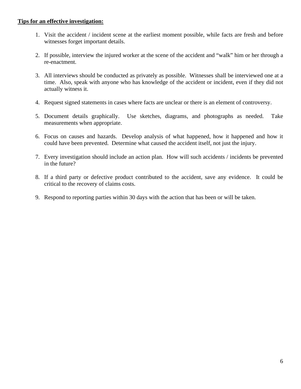### **Tips for an effective investigation:**

- 1. Visit the accident / incident scene at the earliest moment possible, while facts are fresh and before witnesses forget important details.
- 2. If possible, interview the injured worker at the scene of the accident and "walk" him or her through a re-enactment.
- 3. All interviews should be conducted as privately as possible. Witnesses shall be interviewed one at a time. Also, speak with anyone who has knowledge of the accident or incident, even if they did not actually witness it.
- 4. Request signed statements in cases where facts are unclear or there is an element of controversy.
- 5. Document details graphically. Use sketches, diagrams, and photographs as needed. Take measurements when appropriate.
- 6. Focus on causes and hazards. Develop analysis of what happened, how it happened and how it could have been prevented. Determine what caused the accident itself, not just the injury.
- 7. Every investigation should include an action plan. How will such accidents / incidents be prevented in the future?
- 8. If a third party or defective product contributed to the accident, save any evidence. It could be critical to the recovery of claims costs.
- 9. Respond to reporting parties within 30 days with the action that has been or will be taken.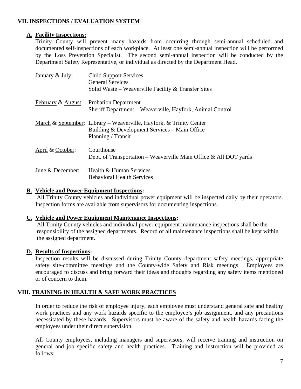### **VII. INSPECTIONS / EVALUATION SYSTEM**

### **A. Facility Inspections:**

Trinity County will prevent many hazards from occurring through semi-annual scheduled and documented self-inspections of each workplace. At least one semi-annual inspection will be performed by the Loss Prevention Specialist. The second semi-annual inspection will be conducted by the Department Safety Representative, or individual as directed by the Department Head.

| January & July:    | <b>Child Support Services</b><br><b>General Services</b><br>Solid Waste – Weaverville Facility & Transfer Sites                                        |
|--------------------|--------------------------------------------------------------------------------------------------------------------------------------------------------|
| February & August: | <b>Probation Department</b><br>Sheriff Department – Weaverville, Hayfork, Animal Control                                                               |
|                    | <u>March &amp; September</u> : Library – Weaverville, Hayfork, & Trinity Center<br>Building & Development Services – Main Office<br>Planning / Transit |
| April & October:   | Courthouse<br>Dept. of Transportation – Weaverville Main Office & All DOT yards                                                                        |
| June & December:   | Health & Human Services<br><b>Behavioral Health Services</b>                                                                                           |

### **B. Vehicle and Power Equipment Inspections:**

All Trinity County vehicles and individual power equipment will be inspected daily by their operators. Inspection forms are available from supervisors for documenting inspections.

### **C. Vehicle and Power Equipment Maintenance Inspections:**

All Trinity County vehicles and individual power equipment maintenance inspections shall be the responsibility of the assigned departments. Record of all maintenance inspections shall be kept within the assigned department.

### **D. Results of Inspections:**

Inspection results will be discussed during Trinity County department safety meetings, appropriate safety site-committee meetings and the County-wide Safety and Risk meetings. Employees are encouraged to discuss and bring forward their ideas and thoughts regarding any safety items mentioned or of concern to them.

### **VIII. TRAINING IN HEALTH & SAFE WORK PRACTICES**

In order to reduce the risk of employee injury, each employee must understand general safe and healthy work practices and any work hazards specific to the employee's job assignment, and any precautions necessitated by these hazards. Supervisors must be aware of the safety and health hazards facing the employees under their direct supervision.

All County employees, including managers and supervisors, will receive training and instruction on general and job specific safety and health practices. Training and instruction will be provided as follows: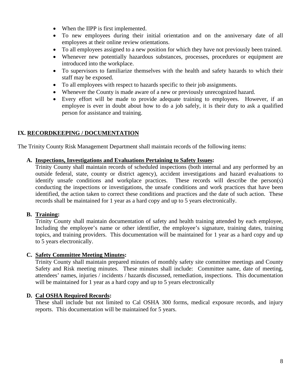- When the IIPP is first implemented.
- To new employees during their initial orientation and on the anniversary date of all employees at their online review orientations.
- To all employees assigned to a new position for which they have not previously been trained.
- Whenever new potentially hazardous substances, processes, procedures or equipment are introduced into the workplace.
- To supervisors to familiarize themselves with the health and safety hazards to which their staff may be exposed.
- To all employees with respect to hazards specific to their job assignments.
- Whenever the County is made aware of a new or previously unrecognized hazard.
- Every effort will be made to provide adequate training to employees. However, if an employee is ever in doubt about how to do a job safely, it is their duty to ask a qualified person for assistance and training.

### **IX. RECORDKEEPING / DOCUMENTATION**

The Trinity County Risk Management Department shall maintain records of the following items:

#### **A. Inspections, Investigations and Evaluations Pertaining to Safety Issues:**

Trinity County shall maintain records of scheduled inspections (both internal and any performed by an outside federal, state, county or district agency), accident investigations and hazard evaluations to identify unsafe conditions and workplace practices. These records will describe the person(s) conducting the inspections or investigations, the unsafe conditions and work practices that have been identified, the action taken to correct these conditions and practices and the date of such action. These records shall be maintained for 1 year as a hard copy and up to 5 years electronically.

#### **B. Training:**

Trinity County shall maintain documentation of safety and health training attended by each employee, Including the employee's name or other identifier, the employee's signature, training dates, training topics, and training providers. This documentation will be maintained for 1 year as a hard copy and up to 5 years electronically.

#### **C. Safety Committee Meeting Minutes:**

Trinity County shall maintain prepared minutes of monthly safety site committee meetings and County Safety and Risk meeting minutes. These minutes shall include: Committee name, date of meeting, attendees' names, injuries / incidents / hazards discussed, remediation, inspections. This documentation will be maintained for 1 year as a hard copy and up to 5 years electronically

#### **D. Cal OSHA Required Records:**

These shall include but not limited to Cal OSHA 300 forms, medical exposure records, and injury reports. This documentation will be maintained for 5 years.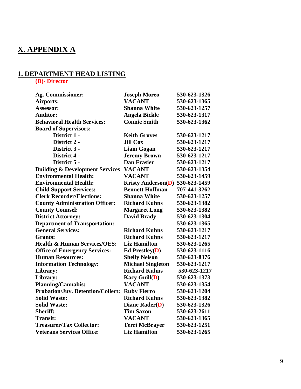### **X. APPENDIX A**

### **1. DEPARTMENT HEAD LISTING**

**(D)- Director**

| <b>Ag. Commissioner:</b>                   | <b>Joseph Moreo</b>       | 530-623-1326 |
|--------------------------------------------|---------------------------|--------------|
| Airports:                                  | <b>VACANT</b>             | 530-623-1365 |
| Assessor:                                  | <b>Shanna White</b>       | 530-623-1257 |
| <b>Auditor:</b>                            | <b>Angela Bickle</b>      | 530-623-1317 |
| <b>Behavioral Health Services:</b>         | <b>Connie Smith</b>       | 530-623-1362 |
| <b>Board of Supervisors:</b>               |                           |              |
| District 1 -                               | <b>Keith Groves</b>       | 530-623-1217 |
| District 2 -                               | <b>Jill Cox</b>           | 530-623-1217 |
| District 3 -                               | <b>Liam Gogan</b>         | 530-623-1217 |
| District 4 -                               | <b>Jeremy Brown</b>       | 530-623-1217 |
| District 5 -                               | <b>Dan Frasier</b>        | 530-623-1217 |
| <b>Building &amp; Development Services</b> | <b>VACANT</b>             | 530-623-1354 |
| <b>Environmental Health:</b>               | <b>VACANT</b>             | 530-623-1459 |
| <b>Environmental Health:</b>               | <b>Kristy Anderson(D)</b> | 530-623-1459 |
| <b>Child Support Services:</b>             | <b>Bennett Hoffman</b>    | 707-441-3262 |
| <b>Clerk Recorder/Elections:</b>           | <b>Shanna White</b>       | 530-623-1257 |
| <b>County Administration Officer:</b>      | <b>Richard Kuhns</b>      | 530-623-1382 |
| <b>County Counsel:</b>                     | <b>Margaret Long</b>      | 530-623-1382 |
| <b>District Attorney:</b>                  | <b>David Brady</b>        | 530-623-1304 |
| <b>Department of Transportation:</b>       |                           | 530-623-1365 |
| <b>General Services:</b>                   | <b>Richard Kuhns</b>      | 530-623-1217 |
| <b>Grants:</b>                             | <b>Richard Kuhns</b>      | 530-623-1217 |
| <b>Health &amp; Human Services/OES:</b>    | <b>Liz Hamilton</b>       | 530-623-1265 |
| <b>Office of Emergency Services:</b>       | Ed Prestley $(D)$         | 530-623-1116 |
| <b>Human Resources:</b>                    | <b>Shelly Nelson</b>      | 530-623-8376 |
| <b>Information Technology:</b>             | <b>Michael Singleton</b>  | 530-623-1217 |
| Library:                                   | <b>Richard Kuhns</b>      | 530-623-1217 |
| Library:                                   | <b>Kacy Guill(D)</b>      | 530-623-1373 |
| <b>Planning/Cannabis:</b>                  | <b>VACANT</b>             | 530-623-1354 |
| <b>Probation/Juv. Detention/Collect:</b>   | <b>Ruby Fierro</b>        | 530-623-1204 |
| <b>Solid Waste:</b>                        | <b>Richard Kuhns</b>      | 530-623-1382 |
| <b>Solid Waste:</b>                        | <b>Diane Rader(D)</b>     | 530-623-1326 |
| <b>Sheriff:</b>                            | <b>Tim Saxon</b>          | 530-623-2611 |
| <b>Transit:</b>                            | <b>VACANT</b>             | 530-623-1365 |
| <b>Treasurer/Tax Collector:</b>            | <b>Terri McBrayer</b>     | 530-623-1251 |
| <b>Veterans Services Office:</b>           | <b>Liz Hamilton</b>       | 530-623-1265 |
|                                            |                           |              |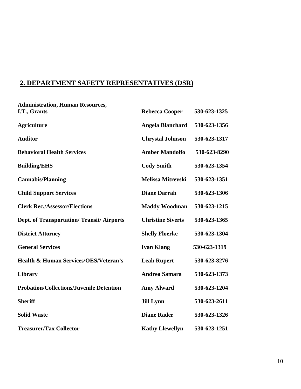### **2. DEPARTMENT SAFETY REPRESENTATIVES (DSR)**

| <b>Administration, Human Resources,</b>           |                          |              |
|---------------------------------------------------|--------------------------|--------------|
| I.T., Grants                                      | <b>Rebecca Cooper</b>    | 530-623-1325 |
| <b>Agriculture</b>                                | <b>Angela Blanchard</b>  | 530-623-1356 |
| <b>Auditor</b>                                    | <b>Chrystal Johnson</b>  | 530-623-1317 |
| <b>Behavioral Health Services</b>                 | <b>Amber Mandolfo</b>    | 530-623-8290 |
| <b>Building/EHS</b>                               | <b>Cody Smith</b>        | 530-623-1354 |
| <b>Cannabis/Planning</b>                          | Melissa Mitrevski        | 530-623-1351 |
| <b>Child Support Services</b>                     | <b>Diane Darrah</b>      | 530-623-1306 |
| <b>Clerk Rec./Assessor/Elections</b>              | <b>Maddy Woodman</b>     | 530-623-1215 |
| <b>Dept. of Transportation/ Transit/ Airports</b> | <b>Christine Siverts</b> | 530-623-1365 |
| <b>District Attorney</b>                          | <b>Shelly Floerke</b>    | 530-623-1304 |
| <b>General Services</b>                           | <b>Ivan Klang</b>        | 530-623-1319 |
| <b>Health &amp; Human Services/OES/Veteran's</b>  | <b>Leah Rupert</b>       | 530-623-8276 |
| Library                                           | <b>Andrea Samara</b>     | 530-623-1373 |
| <b>Probation/Collections/Juvenile Detention</b>   | <b>Amy Alward</b>        | 530-623-1204 |
| <b>Sheriff</b>                                    | <b>Jill Lynn</b>         | 530-623-2611 |
| <b>Solid Waste</b>                                | <b>Diane Rader</b>       | 530-623-1326 |
| <b>Treasurer/Tax Collector</b>                    | <b>Kathy Llewellyn</b>   | 530-623-1251 |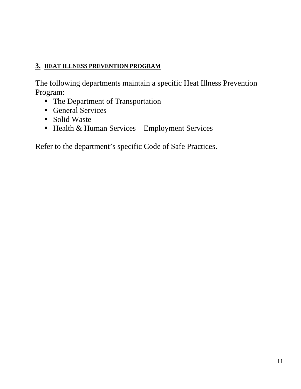### **3. HEAT ILLNESS PREVENTION PROGRAM**

The following departments maintain a specific Heat Illness Prevention Program:

- The Department of Transportation
- General Services
- Solid Waste
- $\blacksquare$  Health & Human Services Employment Services

Refer to the department's specific Code of Safe Practices.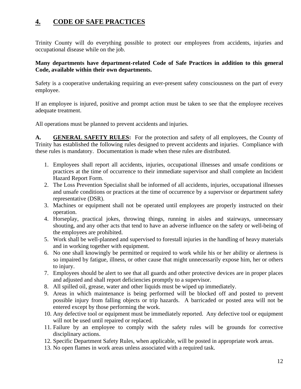### **4. CODE OF SAFE PRACTICES**

Trinity County will do everything possible to protect our employees from accidents, injuries and occupational disease while on the job.

### **Many departments have department-related Code of Safe Practices in addition to this general Code, available within their own departments.**

Safety is a cooperative undertaking requiring an ever-present safety consciousness on the part of every employee.

If an employee is injured, positive and prompt action must be taken to see that the employee receives adequate treatment.

All operations must be planned to prevent accidents and injuries.

**A. GENERAL SAFETY RULES:** For the protection and safety of all employees, the County of Trinity has established the following rules designed to prevent accidents and injuries. Compliance with these rules is mandatory. Documentation is made when these rules are distributed.

- 1. Employees shall report all accidents, injuries, occupational illnesses and unsafe conditions or practices at the time of occurrence to their immediate supervisor and shall complete an Incident Hazard Report Form.
- 2. The Loss Prevention Specialist shall be informed of all accidents, injuries, occupational illnesses and unsafe conditions or practices at the time of occurrence by a supervisor or department safety representative (DSR).
- 3. Machines or equipment shall not be operated until employees are properly instructed on their operation.
- 4. Horseplay, practical jokes, throwing things, running in aisles and stairways, unnecessary shouting, and any other acts that tend to have an adverse influence on the safety or well-being of the employees are prohibited.
- 5. Work shall be well-planned and supervised to forestall injuries in the handling of heavy materials and in working together with equipment.
- 6. No one shall knowingly be permitted or required to work while his or her ability or alertness is so impaired by fatigue, illness, or other cause that might unnecessarily expose him, her or others to injury.
- 7. Employees should be alert to see that all guards and other protective devices are in proper places and adjusted and shall report deficiencies promptly to a supervisor.
- 8. All spilled oil, grease, water and other liquids must be wiped up immediately.
- 9. Areas in which maintenance is being performed will be blocked off and posted to prevent possible injury from falling objects or trip hazards. A barricaded or posted area will not be entered except by those performing the work.
- 10. Any defective tool or equipment must be immediately reported. Any defective tool or equipment will not be used until repaired or replaced.
- 11. Failure by an employee to comply with the safety rules will be grounds for corrective disciplinary actions.
- 12. Specific Department Safety Rules, when applicable, will be posted in appropriate work areas.
- 13. No open flames in work areas unless associated with a required task.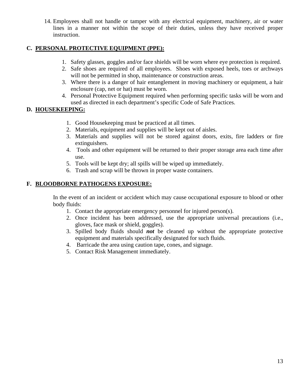14. Employees shall not handle or tamper with any electrical equipment, machinery, air or water lines in a manner not within the scope of their duties, unless they have received proper instruction.

### **C. PERSONAL PROTECTIVE EQUIPMENT (PPE):**

- 1. Safety glasses, goggles and/or face shields will be worn where eye protection is required.
- 2. Safe shoes are required of all employees. Shoes with exposed heels, toes or archways will not be permitted in shop, maintenance or construction areas.
- 3. Where there is a danger of hair entanglement in moving machinery or equipment, a hair enclosure (cap, net or hat) must be worn.
- 4. Personal Protective Equipment required when performing specific tasks will be worn and used as directed in each department's specific Code of Safe Practices.

### **D. HOUSEKEEPING:**

- 1. Good Housekeeping must be practiced at all times.
- 2. Materials, equipment and supplies will be kept out of aisles.
- 3. Materials and supplies will not be stored against doors, exits, fire ladders or fire extinguishers.
- 4. Tools and other equipment will be returned to their proper storage area each time after use.
- 5. Tools will be kept dry; all spills will be wiped up immediately.
- 6. Trash and scrap will be thrown in proper waste containers.

### **F. BLOODBORNE PATHOGENS EXPOSURE:**

In the event of an incident or accident which may cause occupational exposure to blood or other body fluids:

- 1. Contact the appropriate emergency personnel for injured person(s).
- 2. Once incident has been addressed, use the appropriate universal precautions (i.e., gloves, face mask or shield, goggles).
- 3. Spilled body fluids should *not* be cleaned up without the appropriate protective equipment and materials specifically designated for such fluids.
- 4. Barricade the area using caution tape, cones, and signage.
- 5. Contact Risk Management immediately.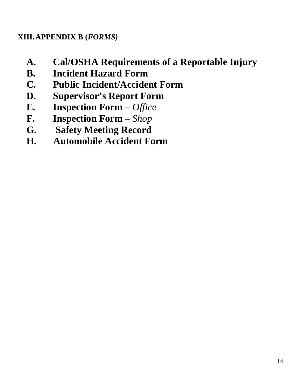### **XIII.APPENDIX B (***FORMS)*

- **A. Cal/OSHA Requirements of a Reportable Injury**
- **B. Incident Hazard Form**
- **C. Public Incident/Accident Form**
- **D. Supervisor's Report Form**
- **E. Inspection Form –** *Office*
- **F. Inspection Form**  *Shop*
- **G. Safety Meeting Record**
- **H. Automobile Accident Form**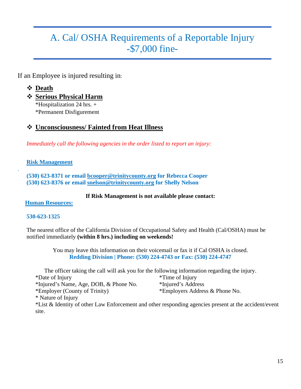## A. Cal/ OSHA Requirements of a Reportable Injury -\$7,000 fine-

If an Employee is injured resulting in:

### **Death**

- **Serious Physical Harm**
	- \*Hospitalization 24 hrs. +
	- \*Permanent Disfigurement

### **Unconsciousness/ Fainted from Heat Illness**

*Immediately call the following agencies in the order listed to report an injury:* 

### **Risk Management**

.

 **(530) 623-8371 or email [bcooper@trinitycounty.org](mailto:bcooper@trinitycounty.org) for Rebecca Cooper (530) 623-8376 or email [snelson@trinitycounty.org](mailto:snelson@trinitycounty.org) for Shelly Nelson**

### **If Risk Management is not available please contact:**

### **Human Resources:**

### **530-623-1325**

The nearest office of the California Division of Occupational Safety and Health (Cal/OSHA) must be notified immediately **(within 8 hrs.) including on weekends!**

> You may leave this information on their voicemail or fax it if Cal OSHA is closed. **Redding Division | Phone: (530) 224-4743 or Fax: (530) 224-4747**

The officer taking the call will ask you for the following information regarding the injury. \*Date of Injury \*Time of Injury

- \*Injured's Name, Age, DOB, & Phone No. \*Injured's Address
	-
- \*Employer (County of Trinity) \*Employers Address & Phone No.
- \* Nature of Injury

\*List & Identity of other Law Enforcement and other responding agencies present at the accident/event site.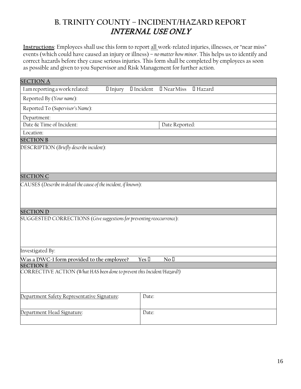### **B. TRINITY COUNTY – INCIDENT/HAZARD REPORT** INTERNAL USE ONLY

**Instructions**: Employees shall use this form to report all work-related injuries, illnesses, or "near miss" events (which could have caused an injury or illness) – *nomatter how minor*. This helps us to identify and correct hazards before they cause serious injuries. This form shall be completed by employees as soon as possible and given to you Supervisor and Risk Management for further action.

| <b>SECTION A</b>                                                                            |                                       |
|---------------------------------------------------------------------------------------------|---------------------------------------|
| I am reporting a work related:<br>$\Box$ Injury                                             | I Incident<br>□ Near Miss<br>Ⅱ Hazard |
| Reported By (Your name):                                                                    |                                       |
| Reported To (Supervisor's Name):                                                            |                                       |
| Department:                                                                                 |                                       |
| Date & Time of Incident:                                                                    | Date Reported:                        |
| Location:                                                                                   |                                       |
| <b>SECTION B</b>                                                                            |                                       |
| DESCRIPTION (Briefly describe incident):                                                    |                                       |
|                                                                                             |                                       |
| <b>SECTION C</b>                                                                            |                                       |
| CAUSES (Describe in detail the cause of the incident, if known):                            |                                       |
|                                                                                             |                                       |
|                                                                                             |                                       |
| <b>SECTION D</b>                                                                            |                                       |
| SUGGESTED CORRECTIONS (Give suggestions for preventing reoccurrence):                       |                                       |
|                                                                                             |                                       |
|                                                                                             |                                       |
|                                                                                             |                                       |
| Investigated By:                                                                            |                                       |
| Was a DWC-1 form provided to the employee?                                                  | Yes I<br>$\rm No~\mathbb{I}$          |
| <b>SECTION E</b><br>CORRECTIVE ACTION (What HAS been done to prevent this Incident/Hazard?) |                                       |
|                                                                                             |                                       |
|                                                                                             |                                       |
| Department Safety Representative Signature:                                                 | Date:                                 |
|                                                                                             |                                       |
| Department Head Signature:                                                                  | Date:                                 |
|                                                                                             |                                       |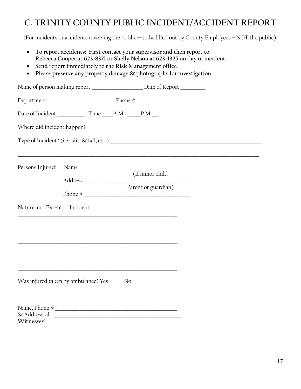### **C. TRINITY COUNTY PUBLIC INCIDENT/ACCIDENT REPORT**

(For incidents or accidents involving the public—to be filled out by County Employees – NOT the public).

- **To report accidents: First contact your supervisor and then report to: Rebecca Cooper at 623-8371 or Shelly Nelson at 623-1325 on day of incident.**
- **Send report immediately to the Risk Management office**
- **Please preserve any property damage & photographs for investigation.**

|                                | Name of person making report _____________________ Date of Report _________                                         |
|--------------------------------|---------------------------------------------------------------------------------------------------------------------|
|                                |                                                                                                                     |
|                                |                                                                                                                     |
|                                |                                                                                                                     |
|                                |                                                                                                                     |
| Persons Injured:               |                                                                                                                     |
|                                | (If minor child                                                                                                     |
|                                | Parent or guardian)<br>Phone $\frac{M}{N}$                                                                          |
| Nature and Extent of Incident: | <u> 1989 - Johann John Stoff, deutscher Stoffen und der Stoffen und der Stoffen und der Stoffen und der Stoffen</u> |
|                                | <u> 1989 - Johann Stoff, amerikansk politiker (d. 1989)</u>                                                         |
|                                |                                                                                                                     |
|                                | <u> 1989 - Johann Stoff, Amerikaansk politiker († 1908)</u>                                                         |
|                                | <u> 1989 - Johann Stoff, amerikansk politiker (d. 1989)</u><br>Was injured taken by ambulance? Yes _____ No _____   |
| Witnesses'                     |                                                                                                                     |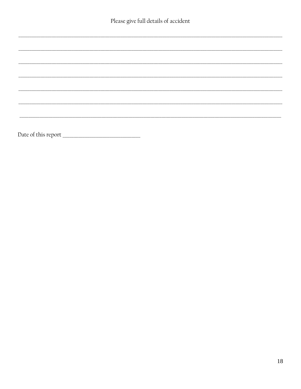$\overline{\phantom{0}}$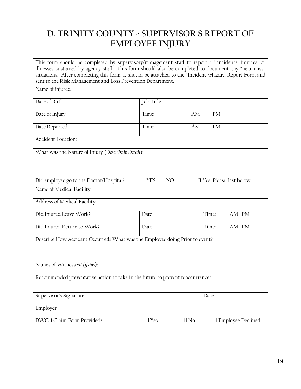### **D. TRINITY COUNTY - SUPERVISOR'S REPORT OF EMPLOYEE INJURY**

This form should be completed by supervisory/management staff to report all incidents, injuries, or illnesses sustained by agency staff. This form should also be completed to document any "near miss" situations. After completing this form, it should be attached to the "Incident /Hazard Report Form and sent to the Risk Management and Loss Prevention Department.

| Name of injured:                                                               |                    |                            |
|--------------------------------------------------------------------------------|--------------------|----------------------------|
| Date of Birth:                                                                 | Job Title:         |                            |
| Date of Injury:                                                                | Time:<br>AM        | <b>PM</b>                  |
| Date Reported:                                                                 | Time:<br>AM        | <b>PM</b>                  |
| Accident Location:                                                             |                    |                            |
| What was the Nature of Injury (Describe in Detail):                            |                    |                            |
| Did employee go to the Doctor/Hospital?                                        | <b>YES</b><br>NO   | If Yes, Please List below  |
| Name of Medical Facility:                                                      |                    |                            |
| Address of Medical Facility:                                                   |                    |                            |
| Did Injured Leave Work?                                                        | Date:              | AM PM<br>Time:             |
| Did Injured Return to Work?                                                    | Date:              | AM PM<br>Time:             |
| Describe How Accident Occurred? What was the Employee doing Prior to event?    |                    |                            |
| Names of Witnesses? (if any):                                                  |                    |                            |
| Recommended preventative action to take in the future to prevent reoccurrence? |                    |                            |
| Supervisor's Signature:                                                        |                    | Date:                      |
| Employer:                                                                      |                    |                            |
| DWC-1 Claim Form Provided?                                                     | □ Yes<br>$\Box$ No | <b>I</b> Employee Declined |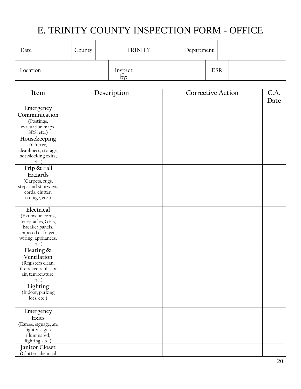# E. TRINITY COUNTY INSPECTION FORM - OFFICE

| Date     |  | County | <b>TRINITY</b> | Department |            |  |
|----------|--|--------|----------------|------------|------------|--|
| Location |  |        | Inspect<br>bv: |            | <b>DSR</b> |  |

| Item                                    | Description | <b>Corrective Action</b> | C.A.<br>Date |
|-----------------------------------------|-------------|--------------------------|--------------|
|                                         |             |                          |              |
| Emergency                               |             |                          |              |
| Communication                           |             |                          |              |
| (Postings,<br>evacuation maps,          |             |                          |              |
| SDS, etc.)                              |             |                          |              |
| Housekeeping                            |             |                          |              |
| (Clutter,                               |             |                          |              |
| cleanliness, storage,                   |             |                          |              |
| not blocking exits,                     |             |                          |              |
| etc.)                                   |             |                          |              |
| Trip & Fall                             |             |                          |              |
| Hazards                                 |             |                          |              |
| (Carpets, rugs,                         |             |                          |              |
| steps and stairways,<br>cords, clutter, |             |                          |              |
| storage, etc.)                          |             |                          |              |
|                                         |             |                          |              |
| Electrical                              |             |                          |              |
| (Extension cords,                       |             |                          |              |
| receptacles, GFIs,                      |             |                          |              |
| breaker panels,                         |             |                          |              |
| exposed or frayed                       |             |                          |              |
| wiring, appliances,<br>$etc.$ )         |             |                          |              |
| Heating &                               |             |                          |              |
| Ventilation                             |             |                          |              |
| (Registers clean,                       |             |                          |              |
| filters, recirculation                  |             |                          |              |
| air, temperature,                       |             |                          |              |
| $etc.$ )                                |             |                          |              |
| Lighting                                |             |                          |              |
| (Indoor, parking                        |             |                          |              |
| lots, etc.)                             |             |                          |              |
|                                         |             |                          |              |
| Emergency<br>Exits                      |             |                          |              |
| (Egress, signage, are                   |             |                          |              |
| lighted signs                           |             |                          |              |
| illuminated,                            |             |                          |              |
| lighting, etc.)                         |             |                          |              |
| Janitor Closet                          |             |                          |              |
| Clutter, chemical                       |             |                          |              |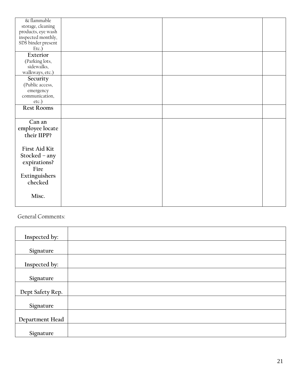| & flammable<br>storage, cleaning<br>products, eye wash<br>inspected monthly,<br>SDS binder present |  |  |
|----------------------------------------------------------------------------------------------------|--|--|
| Etc.)                                                                                              |  |  |
| Exterior<br>(Parking lots,<br>sidewalks,<br>walkways, etc.)                                        |  |  |
| Security<br>(Public access,<br>emergency<br>communication,<br>etc.)                                |  |  |
| <b>Rest Rooms</b>                                                                                  |  |  |
| Can an<br>employee locate<br>their IIPP?                                                           |  |  |
| First Aid Kit<br>Stocked - any<br>expirations?<br>Fire<br>Extinguishers<br>checked                 |  |  |
| Misc.                                                                                              |  |  |

General Comments:

| Inspected by:    |  |
|------------------|--|
| Signature        |  |
| Inspected by:    |  |
| Signature        |  |
| Dept Safety Rep. |  |
| Signature        |  |
| Department Head  |  |
| Signature        |  |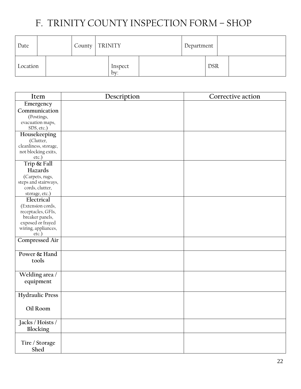# F. TRINITY COUNTY INSPECTION FORM – SHOP

| Date     |  | County   TRINITY |                | Department |            |  |
|----------|--|------------------|----------------|------------|------------|--|
| Location |  |                  | Inspect<br>bv: |            | <b>DSR</b> |  |

| Item                         | Description | Corrective action |
|------------------------------|-------------|-------------------|
| Emergency                    |             |                   |
| Communication                |             |                   |
| (Postings,                   |             |                   |
| evacuation maps,             |             |                   |
| SDS, etc.)                   |             |                   |
| Housekeeping                 |             |                   |
| (Clutter,                    |             |                   |
| cleanliness, storage,        |             |                   |
| not blocking exits,          |             |                   |
| etc.)                        |             |                   |
| Trip & Fall                  |             |                   |
| Hazards                      |             |                   |
| (Carpets, rugs,              |             |                   |
| steps and stairways,         |             |                   |
| cords, clutter,              |             |                   |
| storage, etc.)               |             |                   |
| Electrical                   |             |                   |
| (Extension cords,            |             |                   |
| receptacles, GFIs,           |             |                   |
| breaker panels,              |             |                   |
| exposed or frayed            |             |                   |
| wiring, appliances,<br>etc.) |             |                   |
|                              |             |                   |
| <b>Compressed Air</b>        |             |                   |
| Power & Hand                 |             |                   |
|                              |             |                   |
| tools                        |             |                   |
|                              |             |                   |
| Welding area /               |             |                   |
| equipment                    |             |                   |
|                              |             |                   |
| <b>Hydraulic Press</b>       |             |                   |
|                              |             |                   |
| Oil Room                     |             |                   |
|                              |             |                   |
| Jacks / Hoists /             |             |                   |
| Blocking                     |             |                   |
|                              |             |                   |
|                              |             |                   |
| Tire / Storage               |             |                   |
| Shed                         |             |                   |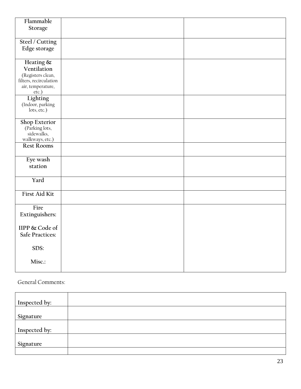| Flammable                    |  |
|------------------------------|--|
| Storage                      |  |
|                              |  |
| Steel / Cutting              |  |
| Edge storage                 |  |
|                              |  |
| Heating &                    |  |
| Ventilation                  |  |
| (Registers clean,            |  |
| filters, recirculation       |  |
| air, temperature,            |  |
| etc.)<br>Lighting            |  |
| (Indoor, parking             |  |
| lots, etc.)                  |  |
|                              |  |
| Shop Exterior                |  |
| (Parking lots,<br>sidewalks, |  |
| walkways, etc.)              |  |
| <b>Rest Rooms</b>            |  |
|                              |  |
| Eye wash                     |  |
| station                      |  |
|                              |  |
| Yard                         |  |
|                              |  |
| First Aid Kit                |  |
|                              |  |
| Fire                         |  |
| Extinguishers:               |  |
|                              |  |
| IIPP & Code of               |  |
| <b>Safe Practices:</b>       |  |
|                              |  |
| SDS:                         |  |
| Misc.:                       |  |
|                              |  |
|                              |  |

General Comments:

| Inspected by: |  |
|---------------|--|
| Signature     |  |
| Inspected by: |  |
| Signature     |  |
|               |  |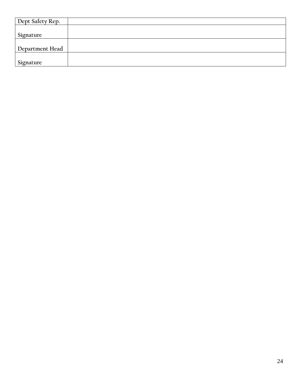| Dept Safety Rep. |  |
|------------------|--|
|                  |  |
| Signature        |  |
|                  |  |
| Department Head  |  |
|                  |  |
| Signature        |  |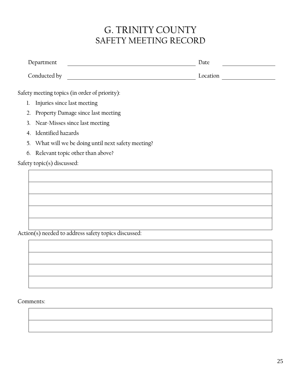## G. TRINITY COUNTY SAFETY MEETING RECORD

| Department                                             | Date     |  |  |
|--------------------------------------------------------|----------|--|--|
| Conducted by                                           | Location |  |  |
| Safety meeting topics (in order of priority):          |          |  |  |
| Injuries since last meeting<br>$\mathbf{1}$            |          |  |  |
| Property Damage since last meeting<br>2.               |          |  |  |
| 3. Near-Misses since last meeting                      |          |  |  |
| Identified hazards<br>4 <sub>1</sub>                   |          |  |  |
| What will we be doing until next safety meeting?<br>5. |          |  |  |
| 6. Relevant topic other than above?                    |          |  |  |
| Safety topic(s) discussed:                             |          |  |  |
|                                                        |          |  |  |
|                                                        |          |  |  |
|                                                        |          |  |  |
|                                                        |          |  |  |
|                                                        |          |  |  |
|                                                        |          |  |  |
| Action(s) needed to address safety topics discussed:   |          |  |  |
|                                                        |          |  |  |
|                                                        |          |  |  |

Comments: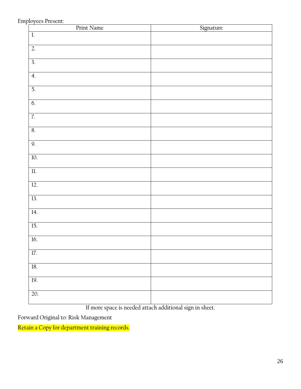### Employees Present:

| Print Name             | Signature |
|------------------------|-----------|
| $1\!\!$                |           |
| $\overline{2}$         |           |
| $\overline{3}$ .       |           |
| $\overline{4}$         |           |
| 5,                     |           |
| 6.                     |           |
| $\overline{7}$ .       |           |
| 8,                     |           |
| 9.                     |           |
| 10.                    |           |
| $\overline{\text{ll}}$ |           |
| 12.                    |           |
| 13.                    |           |
| 14.                    |           |
| 15.                    |           |
| 16.                    |           |
| $17.$                  |           |
| $18. \,$               |           |
| 19.                    |           |
| 20.                    |           |

If more space is needed attach additional sign in sheet.

Forward Original to: Risk Management

Retain a Copy for department training records.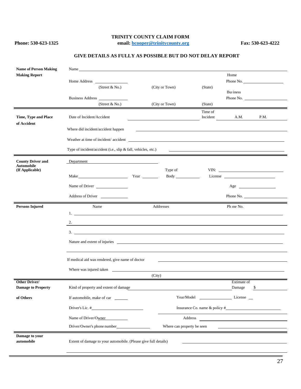### **TRINITY COUNTY CLAIM FORM**

**Phone: 530-623-1325 email: [bcooper@trinitycounty.org](mailto:bcooper@trinitycounty.org) Fax: 530-623-4222**

| <b>Name of Person Making</b>                  | Name and the same state of the same state of the same state of the same state of the same state of the same state of the same state of the same state of the same state of the same state of the same state of the same state |        |                            |          |                                                                                                                                                                                                                                                                                                                                                                                                                      |           |  |  |
|-----------------------------------------------|-------------------------------------------------------------------------------------------------------------------------------------------------------------------------------------------------------------------------------|--------|----------------------------|----------|----------------------------------------------------------------------------------------------------------------------------------------------------------------------------------------------------------------------------------------------------------------------------------------------------------------------------------------------------------------------------------------------------------------------|-----------|--|--|
| <b>Making Report</b>                          |                                                                                                                                                                                                                               |        |                            |          | Home                                                                                                                                                                                                                                                                                                                                                                                                                 |           |  |  |
|                                               | (Street $& No.$ )                                                                                                                                                                                                             |        | (City or Town)             | (State)  |                                                                                                                                                                                                                                                                                                                                                                                                                      | Phone No. |  |  |
|                                               |                                                                                                                                                                                                                               |        |                            |          | Business                                                                                                                                                                                                                                                                                                                                                                                                             |           |  |  |
|                                               | Business Address<br>(Street & No.)                                                                                                                                                                                            |        | (City or Town)             | (State)  |                                                                                                                                                                                                                                                                                                                                                                                                                      | Phone No. |  |  |
|                                               |                                                                                                                                                                                                                               |        |                            | Time of  |                                                                                                                                                                                                                                                                                                                                                                                                                      |           |  |  |
| Time, Type and Place<br>of Accident           | Date of Incident/Accident                                                                                                                                                                                                     |        |                            | Incident | A.M.                                                                                                                                                                                                                                                                                                                                                                                                                 | P.M.      |  |  |
|                                               | Where did incident/accident happen                                                                                                                                                                                            |        |                            |          |                                                                                                                                                                                                                                                                                                                                                                                                                      |           |  |  |
|                                               |                                                                                                                                                                                                                               |        |                            |          |                                                                                                                                                                                                                                                                                                                                                                                                                      |           |  |  |
|                                               | Type of incident/accident (i.e., slip & fall, vehicles, etc.)                                                                                                                                                                 |        |                            |          |                                                                                                                                                                                                                                                                                                                                                                                                                      |           |  |  |
|                                               |                                                                                                                                                                                                                               |        |                            |          |                                                                                                                                                                                                                                                                                                                                                                                                                      |           |  |  |
| <b>County Driver and</b><br><b>Automobile</b> | Department                                                                                                                                                                                                                    |        |                            |          |                                                                                                                                                                                                                                                                                                                                                                                                                      |           |  |  |
| (If Applicable)                               |                                                                                                                                                                                                                               |        | Type of                    |          | License                                                                                                                                                                                                                                                                                                                                                                                                              |           |  |  |
|                                               | Name of Driver                                                                                                                                                                                                                |        |                            |          | $Age \_$                                                                                                                                                                                                                                                                                                                                                                                                             |           |  |  |
|                                               | Address of Driver                                                                                                                                                                                                             |        |                            |          |                                                                                                                                                                                                                                                                                                                                                                                                                      | Phone No. |  |  |
| <b>Persons Injured</b>                        | Name                                                                                                                                                                                                                          |        | Addresses                  |          | Ph me No.                                                                                                                                                                                                                                                                                                                                                                                                            |           |  |  |
|                                               |                                                                                                                                                                                                                               |        |                            |          |                                                                                                                                                                                                                                                                                                                                                                                                                      |           |  |  |
|                                               | 2.                                                                                                                                                                                                                            |        |                            |          |                                                                                                                                                                                                                                                                                                                                                                                                                      |           |  |  |
|                                               | $\overline{\mathbf{3}}$ .                                                                                                                                                                                                     |        |                            |          |                                                                                                                                                                                                                                                                                                                                                                                                                      |           |  |  |
|                                               | Nature and extent of injuries                                                                                                                                                                                                 |        |                            |          |                                                                                                                                                                                                                                                                                                                                                                                                                      |           |  |  |
|                                               |                                                                                                                                                                                                                               |        |                            |          |                                                                                                                                                                                                                                                                                                                                                                                                                      |           |  |  |
|                                               | If medical aid was rendered, give name of doctor                                                                                                                                                                              |        |                            |          |                                                                                                                                                                                                                                                                                                                                                                                                                      |           |  |  |
|                                               | Where was injured taken                                                                                                                                                                                                       |        |                            |          |                                                                                                                                                                                                                                                                                                                                                                                                                      |           |  |  |
|                                               |                                                                                                                                                                                                                               | (City) |                            |          |                                                                                                                                                                                                                                                                                                                                                                                                                      |           |  |  |
| Other Driver/<br><b>Damage to Property</b>    | Kind of property and extent of damage                                                                                                                                                                                         |        |                            |          | Estimate of<br>Damage                                                                                                                                                                                                                                                                                                                                                                                                | \$        |  |  |
| of Others                                     | If automobile, make of car                                                                                                                                                                                                    |        | Year/Model                 |          | $\frac{1}{\sqrt{1-\frac{1}{2}}\sqrt{1-\frac{1}{2}}\sqrt{1-\frac{1}{2}}\sqrt{1-\frac{1}{2}}\sqrt{1-\frac{1}{2}}\sqrt{1-\frac{1}{2}}\sqrt{1-\frac{1}{2}}\sqrt{1-\frac{1}{2}}\sqrt{1-\frac{1}{2}}\sqrt{1-\frac{1}{2}}\sqrt{1-\frac{1}{2}}\sqrt{1-\frac{1}{2}}\sqrt{1-\frac{1}{2}}\sqrt{1-\frac{1}{2}}\sqrt{1-\frac{1}{2}}\sqrt{1-\frac{1}{2}}\sqrt{1-\frac{1}{2}}\sqrt{1-\frac{1}{2}}\sqrt{1-\frac{1}{2}}\sqrt{1-\frac$ |           |  |  |
|                                               | Driver's Lic. #                                                                                                                                                                                                               |        |                            |          |                                                                                                                                                                                                                                                                                                                                                                                                                      |           |  |  |
|                                               | Name of Driver/Owner                                                                                                                                                                                                          |        | Address                    |          | <u>and the contract of the contract of the contract of the contract of the contract of the contract of the contract of the contract of the contract of the contract of the contract of the contract of the contract of the contr</u>                                                                                                                                                                                 |           |  |  |
|                                               |                                                                                                                                                                                                                               |        | Where can property be seen |          |                                                                                                                                                                                                                                                                                                                                                                                                                      |           |  |  |
| Damage to your<br>automobile                  | Extent of damage to your automobile. (Please give full details)                                                                                                                                                               |        |                            |          |                                                                                                                                                                                                                                                                                                                                                                                                                      |           |  |  |

#### **GIVE DETAILS AS FULLY AS POSSIBLE BUT DO NOT DELAY REPORT**